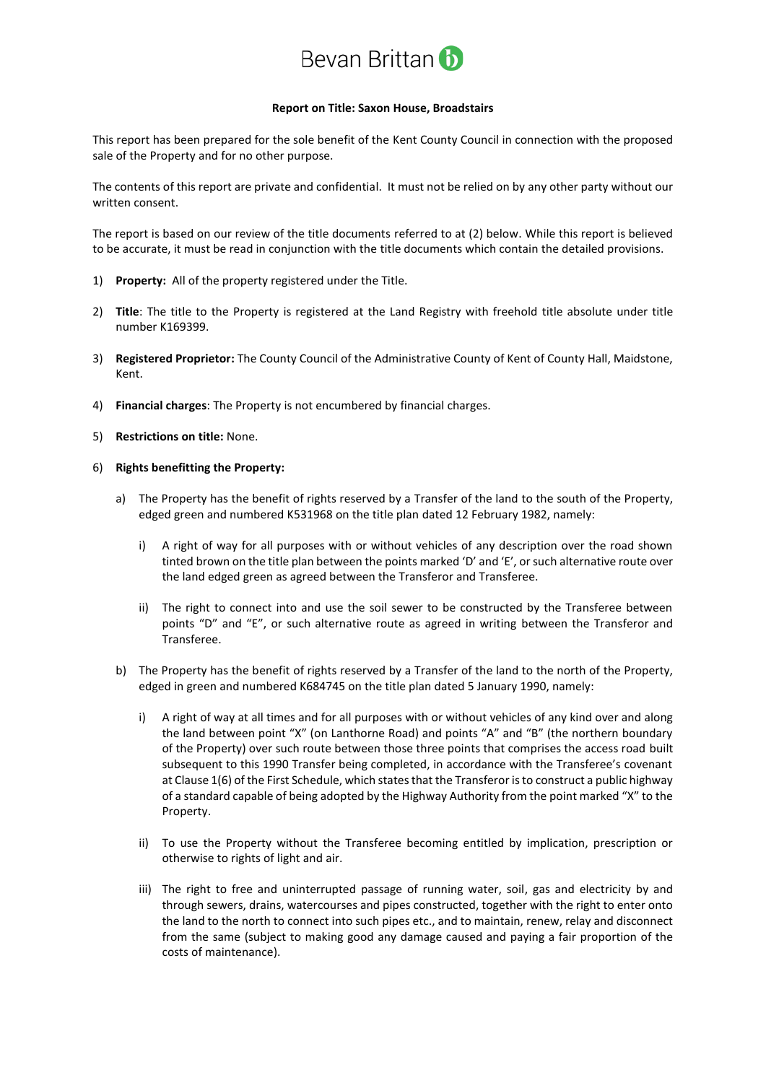

## **Report on Title: Saxon House, Broadstairs**

This report has been prepared for the sole benefit of the Kent County Council in connection with the proposed sale of the Property and for no other purpose.

The contents of this report are private and confidential. It must not be relied on by any other party without our written consent.

The report is based on our review of the title documents referred to at (2) below. While this report is believed to be accurate, it must be read in conjunction with the title documents which contain the detailed provisions.

- 1) **Property:** All of the property registered under the Title.
- 2) **Title**: The title to the Property is registered at the Land Registry with freehold title absolute under title number K169399.
- 3) **Registered Proprietor:** The County Council of the Administrative County of Kent of County Hall, Maidstone, Kent.
- 4) **Financial charges**: The Property is not encumbered by financial charges.
- 5) **Restrictions on title:** None.
- 6) **Rights benefitting the Property:**
	- a) The Property has the benefit of rights reserved by a Transfer of the land to the south of the Property, edged green and numbered K531968 on the title plan dated 12 February 1982, namely:
		- i) A right of way for all purposes with or without vehicles of any description over the road shown tinted brown on the title plan between the points marked 'D' and 'E', or such alternative route over the land edged green as agreed between the Transferor and Transferee.
		- ii) The right to connect into and use the soil sewer to be constructed by the Transferee between points "D" and "E", or such alternative route as agreed in writing between the Transferor and Transferee.
	- b) The Property has the benefit of rights reserved by a Transfer of the land to the north of the Property, edged in green and numbered K684745 on the title plan dated 5 January 1990, namely:
		- i) A right of way at all times and for all purposes with or without vehicles of any kind over and along the land between point "X" (on Lanthorne Road) and points "A" and "B" (the northern boundary of the Property) over such route between those three points that comprises the access road built subsequent to this 1990 Transfer being completed, in accordance with the Transferee's covenant at Clause 1(6) of the First Schedule, which states that the Transferor is to construct a public highway of a standard capable of being adopted by the Highway Authority from the point marked "X" to the Property.
		- ii) To use the Property without the Transferee becoming entitled by implication, prescription or otherwise to rights of light and air.
		- iii) The right to free and uninterrupted passage of running water, soil, gas and electricity by and through sewers, drains, watercourses and pipes constructed, together with the right to enter onto the land to the north to connect into such pipes etc., and to maintain, renew, relay and disconnect from the same (subject to making good any damage caused and paying a fair proportion of the costs of maintenance).